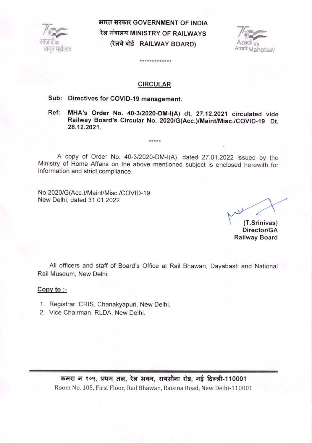

भारत सरकार GOVERNMENT OF INDIA रेल मंत्रालय MINISTRY OF RAILWAYS (रेलवे बोर्ड RAILWAY BOARD)



#### CIRCULAR

\*\*\*\*\*\*\*\*\*\*\*\*\*

# Sub: Directives for COVID-19 management.

Ref: MHA's Order No. 40-3/2020-DM-I(A) dt. 27.12.2021 circulated vide Railway Board's Circular No. 2020/G(Acc.)/Maint/Misc./COVID-19 Dt. 28.12.2021.

A copy of Order No.40-3/2020-DM-|(A), dated 27.01 .2022 issued by the Ministry of Home Affairs on the above mentioned subject is enclosed herewith for information and strict compliance.

\*\*\*\*\*

No.2020/G(Acc.)/Maint/Misc./COVID-19 New Delhi, dated 31.01.2022

(T.Srinivas) Director/GA Railway Board

All officers and staff of Board's Office at Rail Bhawan, Dayabasti and National Rail Museum, New Delhi.

#### Copv to :-

- 1. Registrar, CRIS, Chanakyapuri, New Delhi.
- 2. Vice Chairman, RLDA, New Delhi.

कमरा न १०५, प्रथम तल, रेल भवन, रायसीना रोड, नई दिल्ली-110001 Room No. 105, First Floor, Rail Bhawan, Raisina Road, New Delhi-110001